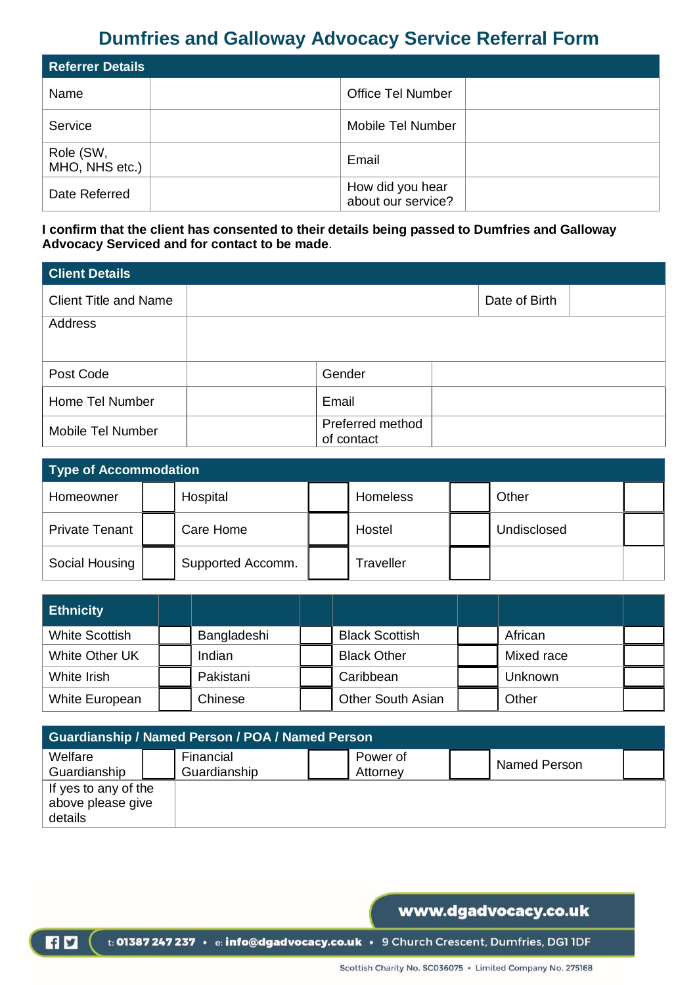## **Dumfries and Galloway Advocacy Service Referral Form**

| <b>Referrer Details</b>     |  |                                        |  |  |  |  |  |  |
|-----------------------------|--|----------------------------------------|--|--|--|--|--|--|
| Name                        |  | <b>Office Tel Number</b>               |  |  |  |  |  |  |
| Service                     |  | Mobile Tel Number                      |  |  |  |  |  |  |
| Role (SW,<br>MHO, NHS etc.) |  | Email                                  |  |  |  |  |  |  |
| Date Referred               |  | How did you hear<br>about our service? |  |  |  |  |  |  |

**I confirm that the client has consented to their details being passed to Dumfries and Galloway Advocacy Serviced and for contact to be made**.

| <b>Client Details</b>        |                                |               |  |  |  |  |  |  |  |
|------------------------------|--------------------------------|---------------|--|--|--|--|--|--|--|
| <b>Client Title and Name</b> |                                | Date of Birth |  |  |  |  |  |  |  |
| Address                      |                                |               |  |  |  |  |  |  |  |
|                              |                                |               |  |  |  |  |  |  |  |
| Post Code                    | Gender                         |               |  |  |  |  |  |  |  |
| Home Tel Number              | Email                          |               |  |  |  |  |  |  |  |
| Mobile Tel Number            | Preferred method<br>of contact |               |  |  |  |  |  |  |  |

| Type of Accommodation |  |                   |  |                 |  |             |  |  |  |
|-----------------------|--|-------------------|--|-----------------|--|-------------|--|--|--|
| Homeowner             |  | Hospital          |  | <b>Homeless</b> |  | Other       |  |  |  |
| <b>Private Tenant</b> |  | Care Home         |  | Hostel          |  | Undisclosed |  |  |  |
| Social Housing        |  | Supported Accomm. |  | Traveller       |  |             |  |  |  |

| <b>Ethnicity</b>      |             |                          |            |  |
|-----------------------|-------------|--------------------------|------------|--|
| <b>White Scottish</b> | Bangladeshi | <b>Black Scottish</b>    | African    |  |
| White Other UK        | Indian      | <b>Black Other</b>       | Mixed race |  |
| White Irish           | Pakistani   | Caribbean                | Unknown    |  |
| White European        | Chinese     | <b>Other South Asian</b> | Other      |  |

| <b>Guardianship / Named Person / POA / Named Person</b> |  |                           |  |                      |  |              |  |  |
|---------------------------------------------------------|--|---------------------------|--|----------------------|--|--------------|--|--|
| Welfare<br>Guardianship                                 |  | Financial<br>Guardianship |  | Power of<br>Attorney |  | Named Person |  |  |
| If yes to any of the<br>above please give<br>details    |  |                           |  |                      |  |              |  |  |

## www.dgadvocacy.co.uk

t: 01387 247 237 · e: info@dgadvocacy.co.uk · 9 Church Crescent, Dumfries, DG1 1DF